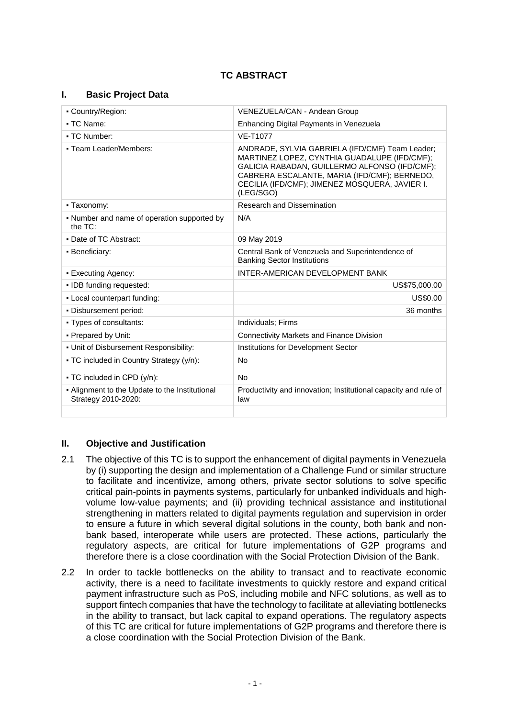# **TC ABSTRACT**

### **I. Basic Project Data**

| • Country/Region:                                                     | VENEZUELA/CAN - Andean Group                                                                                                                                                                                                                                    |  |
|-----------------------------------------------------------------------|-----------------------------------------------------------------------------------------------------------------------------------------------------------------------------------------------------------------------------------------------------------------|--|
| • TC Name:                                                            | Enhancing Digital Payments in Venezuela                                                                                                                                                                                                                         |  |
| • TC Number:                                                          | <b>VE-T1077</b>                                                                                                                                                                                                                                                 |  |
| • Team Leader/Members:                                                | ANDRADE, SYLVIA GABRIELA (IFD/CMF) Team Leader;<br>MARTINEZ LOPEZ, CYNTHIA GUADALUPE (IFD/CMF);<br>GALICIA RABADAN, GUILLERMO ALFONSO (IFD/CMF);<br>CABRERA ESCALANTE, MARIA (IFD/CMF); BERNEDO,<br>CECILIA (IFD/CMF); JIMENEZ MOSQUERA, JAVIER I.<br>(LEG/SGO) |  |
| - Taxonomy:                                                           | <b>Research and Dissemination</b>                                                                                                                                                                                                                               |  |
| • Number and name of operation supported by<br>the $TC$ :             | N/A                                                                                                                                                                                                                                                             |  |
| • Date of TC Abstract:                                                | 09 May 2019                                                                                                                                                                                                                                                     |  |
| • Beneficiary:                                                        | Central Bank of Venezuela and Superintendence of<br><b>Banking Sector Institutions</b>                                                                                                                                                                          |  |
| • Executing Agency:                                                   | INTER-AMERICAN DEVELOPMENT BANK                                                                                                                                                                                                                                 |  |
| · IDB funding requested:                                              | US\$75,000.00                                                                                                                                                                                                                                                   |  |
| - Local counterpart funding:                                          | US\$0.00                                                                                                                                                                                                                                                        |  |
| . Disbursement period:                                                | 36 months                                                                                                                                                                                                                                                       |  |
| • Types of consultants:                                               | Individuals: Firms                                                                                                                                                                                                                                              |  |
| • Prepared by Unit:                                                   | <b>Connectivity Markets and Finance Division</b>                                                                                                                                                                                                                |  |
| . Unit of Disbursement Responsibility:                                | Institutions for Development Sector                                                                                                                                                                                                                             |  |
| • TC included in Country Strategy (y/n):                              | <b>No</b>                                                                                                                                                                                                                                                       |  |
| $\bullet$ TC included in CPD (y/n):                                   | <b>No</b>                                                                                                                                                                                                                                                       |  |
| - Alignment to the Update to the Institutional<br>Strategy 2010-2020: | Productivity and innovation; Institutional capacity and rule of<br>law                                                                                                                                                                                          |  |
|                                                                       |                                                                                                                                                                                                                                                                 |  |

### **II. Objective and Justification**

- 2.1 The objective of this TC is to support the enhancement of digital payments in Venezuela by (i) supporting the design and implementation of a Challenge Fund or similar structure to facilitate and incentivize, among others, private sector solutions to solve specific critical pain-points in payments systems, particularly for unbanked individuals and highvolume low-value payments; and (ii) providing technical assistance and institutional strengthening in matters related to digital payments regulation and supervision in order to ensure a future in which several digital solutions in the county, both bank and nonbank based, interoperate while users are protected. These actions, particularly the regulatory aspects, are critical for future implementations of G2P programs and therefore there is a close coordination with the Social Protection Division of the Bank.
- 2.2 In order to tackle bottlenecks on the ability to transact and to reactivate economic activity, there is a need to facilitate investments to quickly restore and expand critical payment infrastructure such as PoS, including mobile and NFC solutions, as well as to support fintech companies that have the technology to facilitate at alleviating bottlenecks in the ability to transact, but lack capital to expand operations. The regulatory aspects of this TC are critical for future implementations of G2P programs and therefore there is a close coordination with the Social Protection Division of the Bank.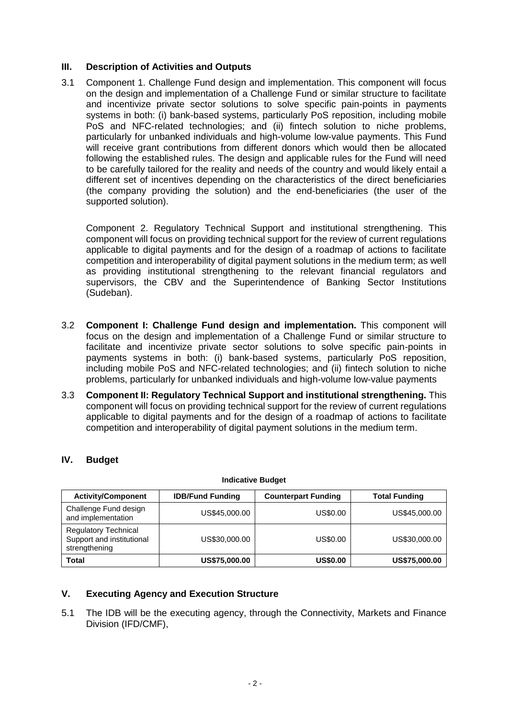### **III. Description of Activities and Outputs**

3.1 Component 1. Challenge Fund design and implementation. This component will focus on the design and implementation of a Challenge Fund or similar structure to facilitate and incentivize private sector solutions to solve specific pain-points in payments systems in both: (i) bank-based systems, particularly PoS reposition, including mobile PoS and NFC-related technologies; and (ii) fintech solution to niche problems, particularly for unbanked individuals and high-volume low-value payments. This Fund will receive grant contributions from different donors which would then be allocated following the established rules. The design and applicable rules for the Fund will need to be carefully tailored for the reality and needs of the country and would likely entail a different set of incentives depending on the characteristics of the direct beneficiaries (the company providing the solution) and the end-beneficiaries (the user of the supported solution).

Component 2. Regulatory Technical Support and institutional strengthening. This component will focus on providing technical support for the review of current regulations applicable to digital payments and for the design of a roadmap of actions to facilitate competition and interoperability of digital payment solutions in the medium term; as well as providing institutional strengthening to the relevant financial regulators and supervisors, the CBV and the Superintendence of Banking Sector Institutions (Sudeban).

- 3.2 **Component I: Challenge Fund design and implementation.** This component will focus on the design and implementation of a Challenge Fund or similar structure to facilitate and incentivize private sector solutions to solve specific pain-points in payments systems in both: (i) bank-based systems, particularly PoS reposition, including mobile PoS and NFC-related technologies; and (ii) fintech solution to niche problems, particularly for unbanked individuals and high-volume low-value payments
- 3.3 **Component II: Regulatory Technical Support and institutional strengthening.** This component will focus on providing technical support for the review of current regulations applicable to digital payments and for the design of a roadmap of actions to facilitate competition and interoperability of digital payment solutions in the medium term.

| IV.<br><b>Budget</b> |  |
|----------------------|--|
|----------------------|--|

| <b>Activity/Component</b>                                                 | <b>IDB/Fund Funding</b> | <b>Counterpart Funding</b> | <b>Total Funding</b> |
|---------------------------------------------------------------------------|-------------------------|----------------------------|----------------------|
| Challenge Fund design<br>and implementation                               | US\$45,000.00           | US\$0.00                   | US\$45,000.00        |
| <b>Regulatory Technical</b><br>Support and institutional<br>strengthening | US\$30,000.00           | US\$0.00                   | US\$30,000,00        |
| <b>Total</b>                                                              | US\$75,000.00           | <b>US\$0.00</b>            | US\$75,000.00        |

#### **Indicative Budget**

### **V. Executing Agency and Execution Structure**

5.1 The IDB will be the executing agency, through the Connectivity, Markets and Finance Division (IFD/CMF),